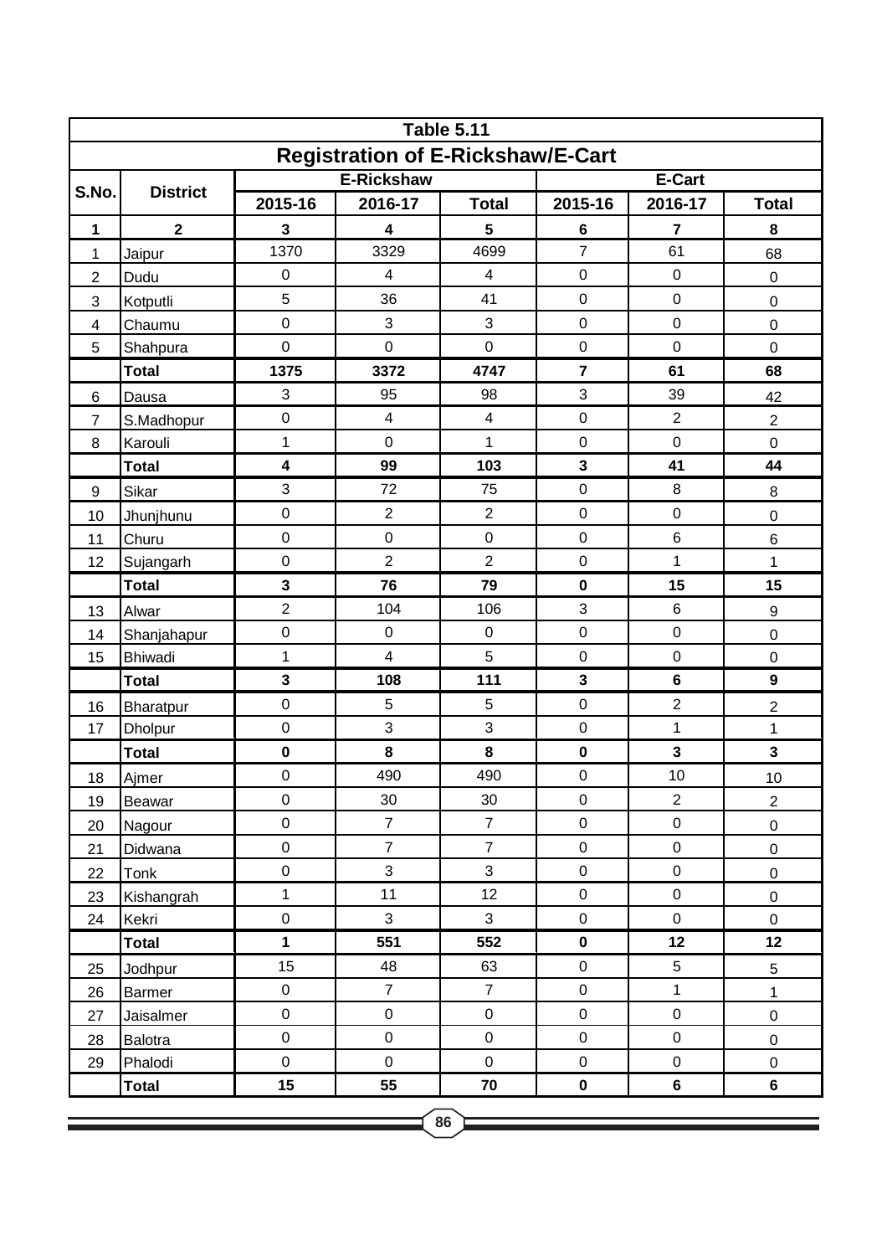| <b>Table 5.11</b>                        |                 |                   |                         |                         |                     |                  |                     |  |  |  |  |
|------------------------------------------|-----------------|-------------------|-------------------------|-------------------------|---------------------|------------------|---------------------|--|--|--|--|
| <b>Registration of E-Rickshaw/E-Cart</b> |                 |                   |                         |                         |                     |                  |                     |  |  |  |  |
|                                          |                 | <b>E-Rickshaw</b> |                         |                         | E-Cart              |                  |                     |  |  |  |  |
| S.No.                                    | <b>District</b> | 2015-16           | 2016-17                 | <b>Total</b>            | 2015-16             | 2016-17          | <b>Total</b>        |  |  |  |  |
| 1                                        | $\mathbf{2}$    | 3                 | 4                       | 5                       | 6                   | 7                | 8                   |  |  |  |  |
| 1                                        | Jaipur          | 1370              | 3329                    | 4699                    | $\overline{7}$      | 61               | 68                  |  |  |  |  |
| $\overline{2}$                           | Dudu            | $\pmb{0}$         | $\overline{\mathbf{4}}$ | $\overline{4}$          | $\pmb{0}$           | $\boldsymbol{0}$ | $\pmb{0}$           |  |  |  |  |
| 3                                        | Kotputli        | 5                 | 36                      | 41                      | $\pmb{0}$           | $\mathbf 0$      | $\boldsymbol{0}$    |  |  |  |  |
| $\overline{\mathbf{4}}$                  | Chaumu          | $\mathsf 0$       | 3                       | 3                       | $\pmb{0}$           | $\mathsf 0$      | $\mathbf 0$         |  |  |  |  |
| 5                                        | Shahpura        | $\mathbf 0$       | $\mathbf 0$             | $\mathbf 0$             | $\pmb{0}$           | $\mathsf 0$      | $\pmb{0}$           |  |  |  |  |
|                                          | <b>Total</b>    | 1375              | 3372                    | 4747                    | $\overline{7}$      | 61               | 68                  |  |  |  |  |
| 6                                        | Dausa           | 3                 | 95                      | 98                      | 3                   | 39               | 42                  |  |  |  |  |
| $\overline{7}$                           | S.Madhopur      | $\mathsf 0$       | $\overline{\mathbf{4}}$ | $\overline{\mathbf{4}}$ | $\pmb{0}$           | $\overline{2}$   | $\overline{2}$      |  |  |  |  |
| 8                                        | Karouli         | $\mathbf 1$       | $\mathbf 0$             | 1                       | $\pmb{0}$           | $\mathbf 0$      | $\mathsf 0$         |  |  |  |  |
|                                          | <b>Total</b>    | 4                 | 99                      | 103                     | $\mathbf{3}$        | 41               | 44                  |  |  |  |  |
| 9                                        | Sikar           | 3                 | 72                      | 75                      | $\mathbf 0$         | $\,8\,$          | $\, 8$              |  |  |  |  |
| 10                                       | Jhunjhunu       | 0                 | $\overline{2}$          | $\overline{2}$          | $\pmb{0}$           | $\mathbf 0$      | $\mathbf 0$         |  |  |  |  |
| 11                                       | Churu           | $\mathsf 0$       | $\mathbf 0$             | $\mathbf 0$             | $\pmb{0}$           | $6\phantom{1}6$  | $\,6$               |  |  |  |  |
| 12                                       | Sujangarh       | $\mathbf 0$       | $\overline{2}$          | $\overline{2}$          | $\pmb{0}$           | 1                | 1                   |  |  |  |  |
|                                          | <b>Total</b>    | 3                 | 76                      | 79                      | $\mathbf 0$         | 15               | 15                  |  |  |  |  |
| 13                                       | Alwar           | $\overline{c}$    | 104                     | 106                     | 3                   | $6\phantom{1}6$  | $\boldsymbol{9}$    |  |  |  |  |
| 14                                       | Shanjahapur     | $\mathbf 0$       | $\pmb{0}$               | $\boldsymbol{0}$        | $\pmb{0}$           | $\mathbf 0$      | $\mathbf 0$         |  |  |  |  |
| 15                                       | <b>Bhiwadi</b>  | $\mathbf 1$       | $\overline{\mathbf{4}}$ | 5                       | $\pmb{0}$           | $\boldsymbol{0}$ | $\mathsf 0$         |  |  |  |  |
|                                          | <b>Total</b>    | 3                 | 108                     | 111                     | $\mathbf{3}$        | $6\phantom{1}6$  | $\boldsymbol{9}$    |  |  |  |  |
| 16                                       | Bharatpur       | $\mathsf 0$       | 5                       | 5                       | $\pmb{0}$           | $\overline{c}$   | $\overline{c}$      |  |  |  |  |
| 17                                       | <b>Dholpur</b>  | 0                 | 3                       | 3                       | $\pmb{0}$           | 1                | $\mathbf 1$         |  |  |  |  |
|                                          | <b>Total</b>    | $\mathbf 0$       | 8                       | 8                       | $\pmb{0}$           | 3                | $\mathbf{3}$        |  |  |  |  |
| 18                                       | Ajmer           | $\mathbf 0$       | 490                     | 490                     | $\mathbf 0$         | 10               | 10                  |  |  |  |  |
| 19                                       | <b>Beawar</b>   | $\mathbf 0$       | 30                      | 30                      | $\pmb{0}$           | $\overline{2}$   | $\overline{c}$      |  |  |  |  |
| 20                                       | Nagour          | $\mathbf 0$       | $\overline{7}$          | $\overline{7}$          | $\mathbf 0$         | $\mathsf 0$      | $\mathsf 0$         |  |  |  |  |
| 21                                       | Didwana         | $\mathbf 0$       | $\overline{7}$          | $\overline{7}$          | $\mathsf{O}\xspace$ | $\mathbf 0$      | $\mathbf 0$         |  |  |  |  |
| 22                                       | Tonk            | $\mathbf 0$       | 3                       | 3                       | $\mathbf 0$         | $\pmb{0}$        | $\mathbf 0$         |  |  |  |  |
| 23                                       | Kishangrah      | $\mathbf 1$       | 11                      | 12                      | $\mathbf 0$         | $\mathsf 0$      | $\mathsf 0$         |  |  |  |  |
| 24                                       | Kekri           | $\mathbf 0$       | 3                       | $\mathfrak{S}$          | $\mathbf 0$         | $\pmb{0}$        | $\mathsf{O}\xspace$ |  |  |  |  |
|                                          | <b>Total</b>    | 1                 | 551                     | 552                     | $\pmb{0}$           | 12               | 12                  |  |  |  |  |
| 25                                       | Jodhpur         | 15                | 48                      | 63                      | $\mathbf 0$         | 5                | 5                   |  |  |  |  |
| 26                                       | <b>Barmer</b>   | $\mathbf 0$       | $\overline{7}$          | $\overline{7}$          | $\pmb{0}$           | $\mathbf{1}$     | $\mathbf{1}$        |  |  |  |  |
| 27                                       | Jaisalmer       | $\mathbf 0$       | $\mathsf{O}\xspace$     | $\mathbf 0$             | $\mathbf 0$         | $\mathbf 0$      | $\mathbf 0$         |  |  |  |  |
| 28                                       | Balotra         | $\mathbf 0$       | $\mathbf 0$             | $\mathbf 0$             | $\pmb{0}$           | $\pmb{0}$        | $\mathbf 0$         |  |  |  |  |
| 29                                       | Phalodi         | $\mathbf 0$       | $\boldsymbol{0}$        | $\boldsymbol{0}$        | $\mathbf 0$         | $\pmb{0}$        | $\mathbf 0$         |  |  |  |  |
|                                          | <b>Total</b>    | 15                | 55                      | 70                      | $\pmb{0}$           | $\bf 6$          | 6                   |  |  |  |  |
| 86                                       |                 |                   |                         |                         |                     |                  |                     |  |  |  |  |